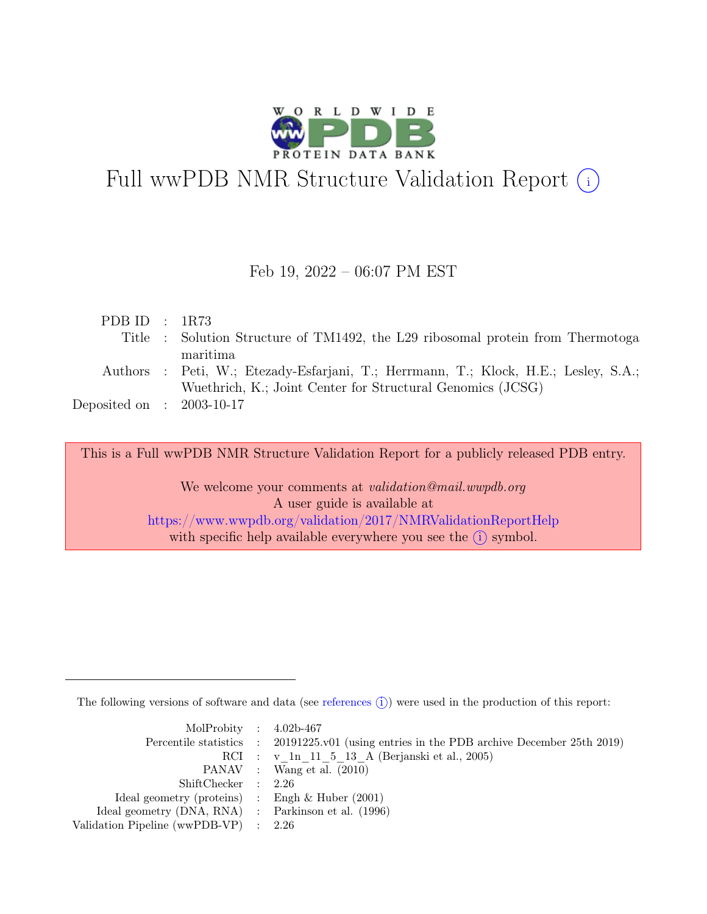

# Full wwPDB NMR Structure Validation Report (i)

### Feb 19, 2022 – 06:07 PM EST

| PDB ID : $1R73$                                                                     |  |
|-------------------------------------------------------------------------------------|--|
| Title : Solution Structure of TM1492, the L29 ribosomal protein from Thermotoga     |  |
| maritima                                                                            |  |
| Authors : Peti, W.; Etezady-Esfarjani, T.; Herrmann, T.; Klock, H.E.; Lesley, S.A.; |  |
| Wuethrich, K.; Joint Center for Structural Genomics (JCSG)                          |  |
| Deposited on : $2003-10-17$                                                         |  |

This is a Full wwPDB NMR Structure Validation Report for a publicly released PDB entry.

We welcome your comments at *validation@mail.wwpdb.org* A user guide is available at <https://www.wwpdb.org/validation/2017/NMRValidationReportHelp> with specific help available everywhere you see the  $(i)$  symbol.

The following versions of software and data (see [references](https://www.wwpdb.org/validation/2017/NMRValidationReportHelp#references)  $\hat{I}$ ) were used in the production of this report:

| MolProbity : $4.02b-467$                            |                                                                                            |
|-----------------------------------------------------|--------------------------------------------------------------------------------------------|
|                                                     | Percentile statistics : 20191225.v01 (using entries in the PDB archive December 25th 2019) |
|                                                     | RCI : v 1n 11 5 13 A (Berjanski et al., 2005)                                              |
|                                                     | PANAV : Wang et al. (2010)                                                                 |
| ShiftChecker : 2.26                                 |                                                                                            |
| Ideal geometry (proteins) : Engh $\&$ Huber (2001)  |                                                                                            |
| Ideal geometry (DNA, RNA) : Parkinson et al. (1996) |                                                                                            |
| Validation Pipeline (wwPDB-VP) $\therefore$ 2.26    |                                                                                            |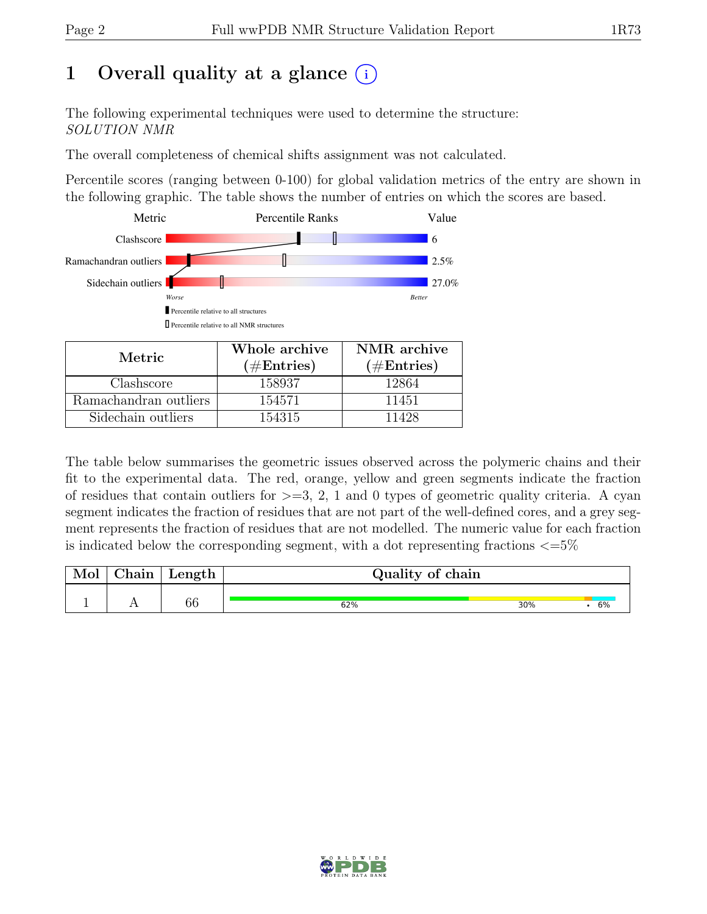# 1 Overall quality at a glance  $(i)$

The following experimental techniques were used to determine the structure: SOLUTION NMR

The overall completeness of chemical shifts assignment was not calculated.

Percentile scores (ranging between 0-100) for global validation metrics of the entry are shown in the following graphic. The table shows the number of entries on which the scores are based.



| Metric.               | Whole archive<br>$(\#Entries)$ | NMR archive<br>$(\#Entries)$ |  |  |
|-----------------------|--------------------------------|------------------------------|--|--|
| Clashscore            | 158937                         | 12864                        |  |  |
| Ramachandran outliers | 154571                         | 11451                        |  |  |
| Sidechain outliers    | 154315                         | 11428                        |  |  |

The table below summarises the geometric issues observed across the polymeric chains and their fit to the experimental data. The red, orange, yellow and green segments indicate the fraction of residues that contain outliers for  $>=$  3, 2, 1 and 0 types of geometric quality criteria. A cyan segment indicates the fraction of residues that are not part of the well-defined cores, and a grey segment represents the fraction of residues that are not modelled. The numeric value for each fraction is indicated below the corresponding segment, with a dot representing fractions  $\langle=5\%$ 

| Mol | hain/ | $Length \mid$ | Quality of chain |     |    |
|-----|-------|---------------|------------------|-----|----|
|     |       | 66            | 62%              | 30% | b% |

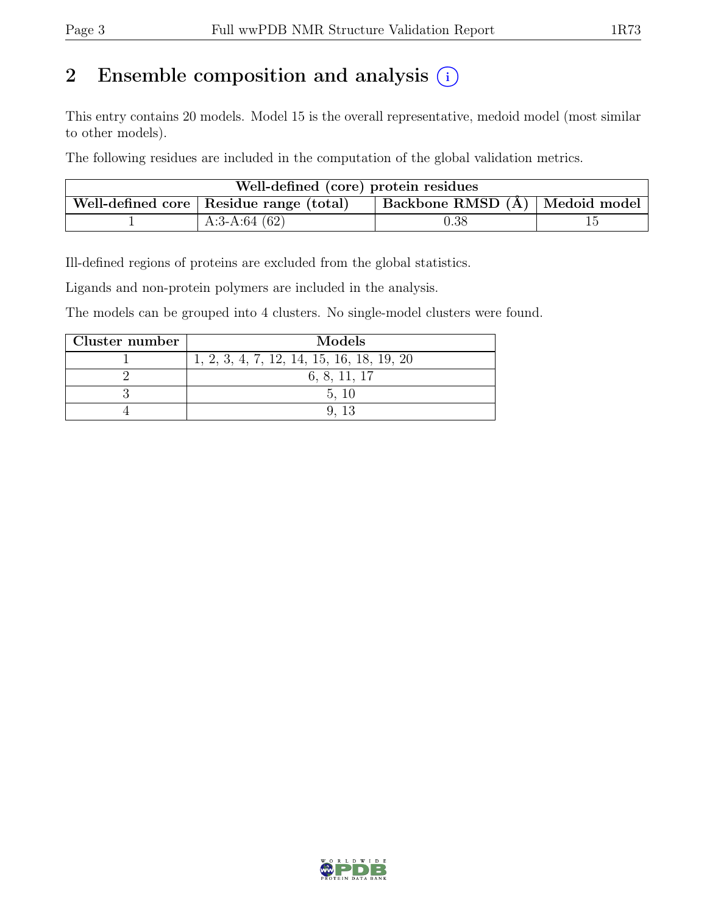# 2 Ensemble composition and analysis  $(i)$

This entry contains 20 models. Model 15 is the overall representative, medoid model (most similar to other models).

The following residues are included in the computation of the global validation metrics.

| Well-defined (core) protein residues |                                           |                                |  |  |  |  |
|--------------------------------------|-------------------------------------------|--------------------------------|--|--|--|--|
|                                      | Well-defined core   Residue range (total) | Backbone RMSD (Å) Medoid model |  |  |  |  |
|                                      | A:3-A:64 $(62)$                           | $\rm 0.38$                     |  |  |  |  |

Ill-defined regions of proteins are excluded from the global statistics.

Ligands and non-protein polymers are included in the analysis.

The models can be grouped into 4 clusters. No single-model clusters were found.

| Cluster number | Models                                    |
|----------------|-------------------------------------------|
|                | 1, 2, 3, 4, 7, 12, 14, 15, 16, 18, 19, 20 |
|                | 6, 8, 11, 17                              |
|                | 5.10                                      |
|                |                                           |

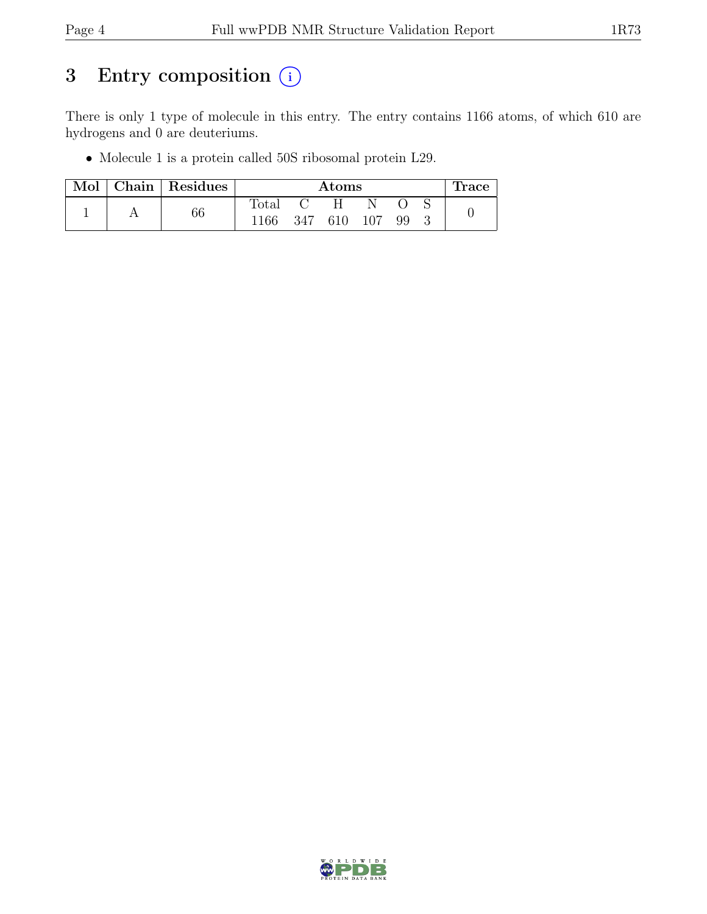# 3 Entry composition  $\circled{\scriptstyle i}$

There is only 1 type of molecule in this entry. The entry contains 1166 atoms, of which 610 are hydrogens and 0 are deuteriums.

• Molecule 1 is a protein called 50S ribosomal protein L29.

| Mol | Chain Residues | Atoms          |     |     |         |    | race. |  |
|-----|----------------|----------------|-----|-----|---------|----|-------|--|
|     |                | $_{\rm Total}$ |     | H   |         |    |       |  |
|     | 66             | 1166           | 347 | 610 | $107\,$ | 99 |       |  |

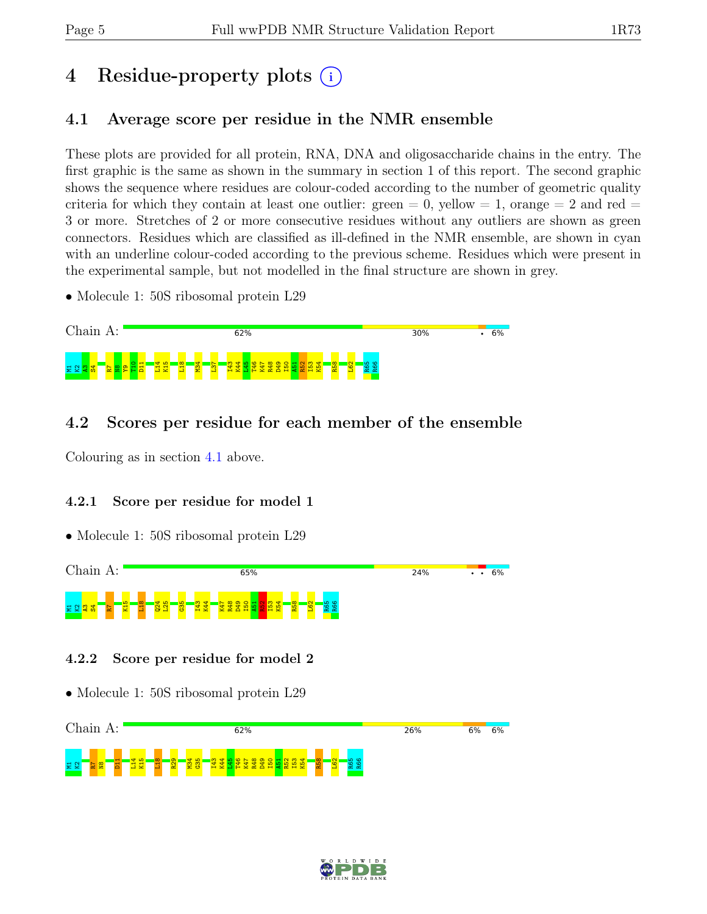# 4 Residue-property plots (i)

## <span id="page-4-0"></span>4.1 Average score per residue in the NMR ensemble

These plots are provided for all protein, RNA, DNA and oligosaccharide chains in the entry. The first graphic is the same as shown in the summary in section 1 of this report. The second graphic shows the sequence where residues are colour-coded according to the number of geometric quality criteria for which they contain at least one outlier:  $green = 0$ ,  $yellow = 1$ ,  $orange = 2$  and  $red =$ 3 or more. Stretches of 2 or more consecutive residues without any outliers are shown as green connectors. Residues which are classified as ill-defined in the NMR ensemble, are shown in cyan with an underline colour-coded according to the previous scheme. Residues which were present in the experimental sample, but not modelled in the final structure are shown in grey.

• Molecule 1: 50S ribosomal protein L29



## 4.2 Scores per residue for each member of the ensemble

Colouring as in section [4.1](#page-4-0) above.

#### 4.2.1 Score per residue for model 1

• Molecule 1: 50S ribosomal protein L29



#### 4.2.2 Score per residue for model 2



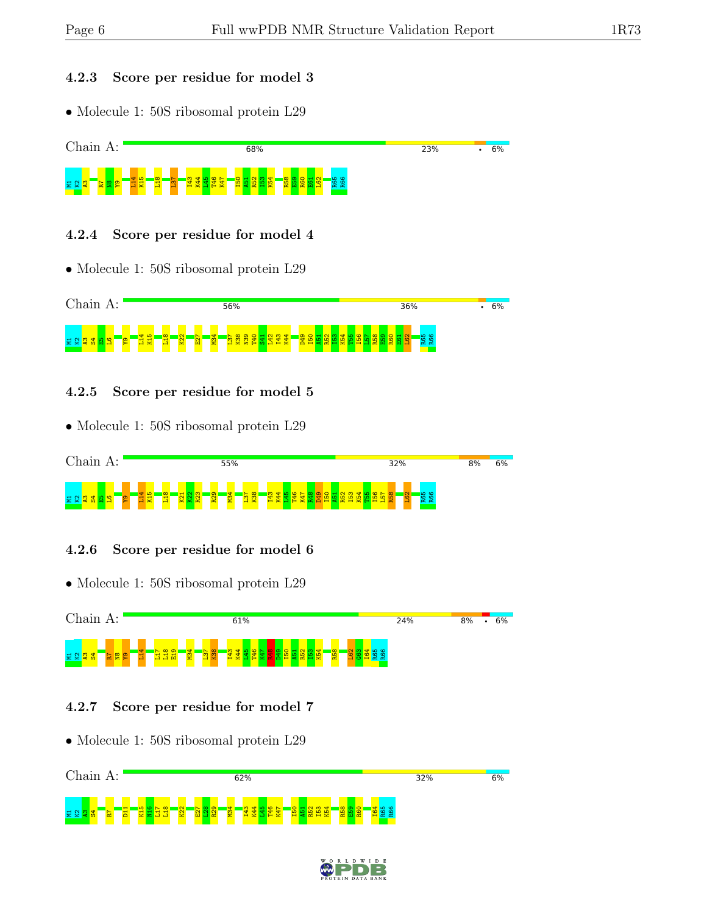#### 4.2.3 Score per residue for model 3

• Molecule 1: 50S ribosomal protein L29



#### 4.2.4 Score per residue for model 4

• Molecule 1: 50S ribosomal protein L29



#### 4.2.5 Score per residue for model 5

• Molecule 1: 50S ribosomal protein L29



#### 4.2.6 Score per residue for model 6

• Molecule 1: 50S ribosomal protein L29



#### 4.2.7 Score per residue for model 7



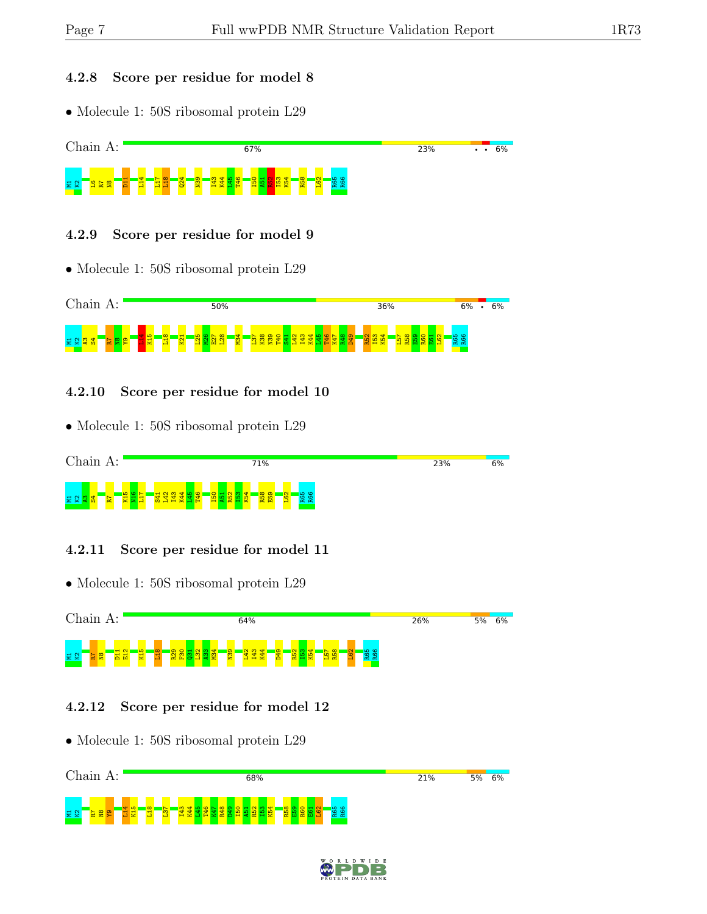#### 4.2.8 Score per residue for model 8

• Molecule 1: 50S ribosomal protein L29



### 4.2.9 Score per residue for model 9

• Molecule 1: 50S ribosomal protein L29



### 4.2.10 Score per residue for model 10

• Molecule 1: 50S ribosomal protein L29



### 4.2.11 Score per residue for model 11





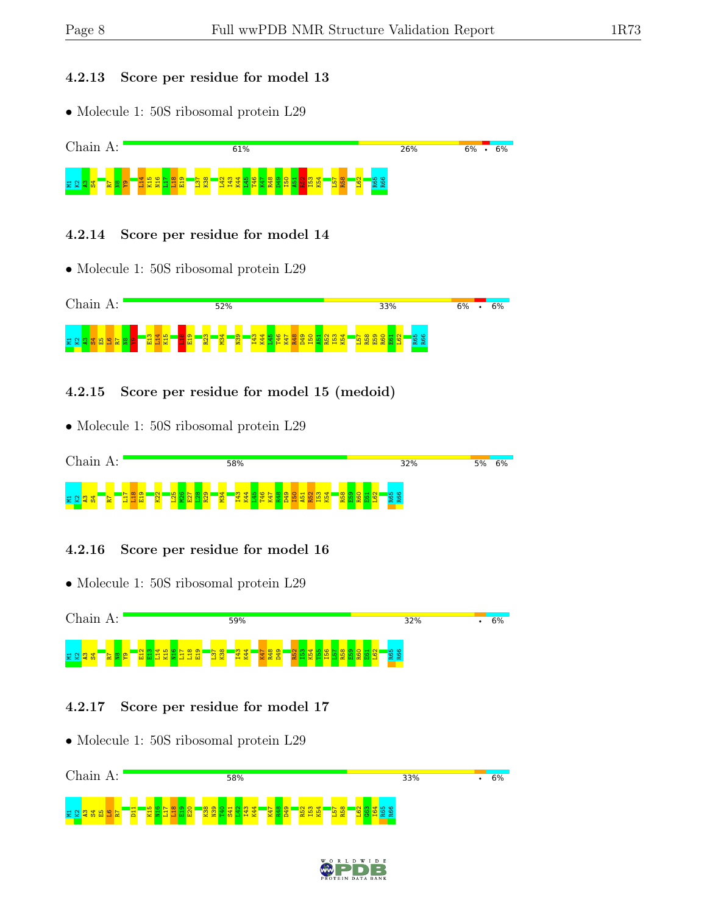#### 4.2.13 Score per residue for model 13

• Molecule 1: 50S ribosomal protein L29



### 4.2.14 Score per residue for model 14

• Molecule 1: 50S ribosomal protein L29



## 4.2.15 Score per residue for model 15 (medoid)

• Molecule 1: 50S ribosomal protein L29



## 4.2.16 Score per residue for model 16

• Molecule 1: 50S ribosomal protein L29



## 4.2.17 Score per residue for model 17

• Molecule 1: 50S ribosomal protein L29 Chain A: 58% 33%  $\overline{\phantom{0}}$  6%  $\overline{H}$  $\frac{15}{15}$  $\frac{16}{2}$  $\frac{17}{11}$  $\frac{18}{11}$  $\frac{8}{2}$ E20 K38  $\frac{8}{2}$  $\frac{1}{2}$  $\frac{341}{2}$  $\frac{22}{1}$ I43  $\frac{1}{10}$  $K47$ R48 D49 R52 I53 K54 L57 R58 L62  $\frac{3}{2}$ I64 R65 R662 2 2 3 8 9 9 2 <mark>2</mark>

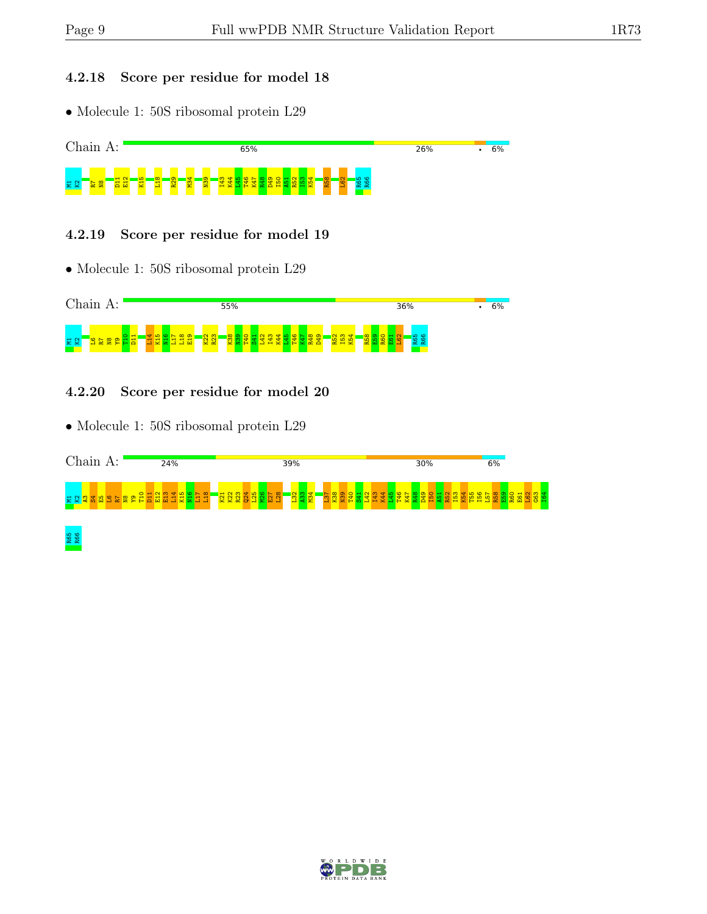### 4.2.18 Score per residue for model 18

• Molecule 1: 50S ribosomal protein L29



#### 4.2.19 Score per residue for model 19

• Molecule 1: 50S ribosomal protein L29



### 4.2.20 Score per residue for model 20



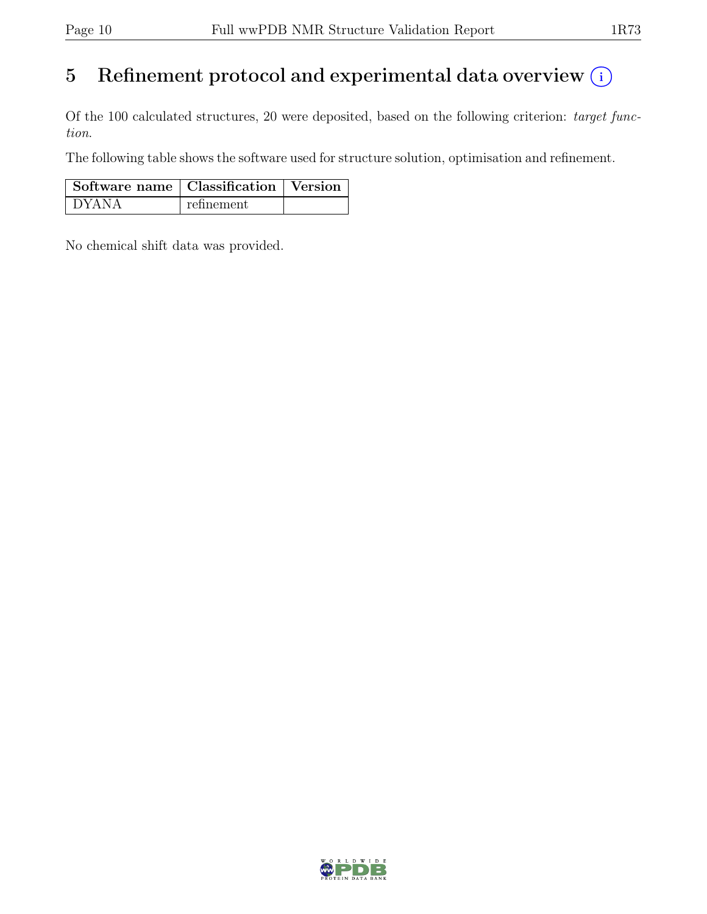# 5 Refinement protocol and experimental data overview  $(i)$

Of the 100 calculated structures, 20 were deposited, based on the following criterion: target function.

The following table shows the software used for structure solution, optimisation and refinement.

| Software name   Classification   Version |            |  |
|------------------------------------------|------------|--|
| DYANA                                    | refinement |  |

No chemical shift data was provided.

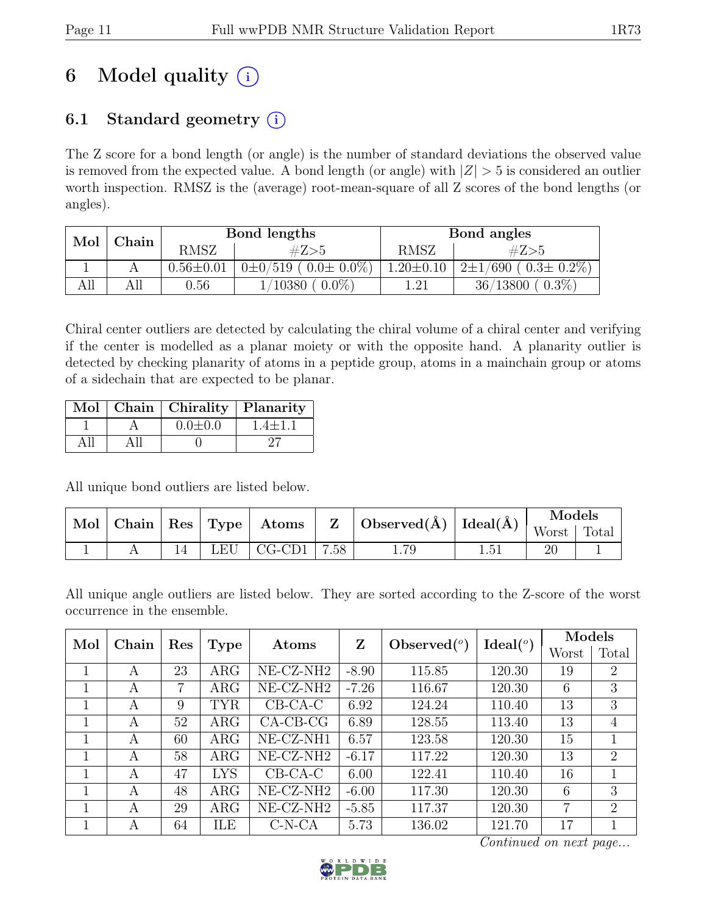# 6 Model quality  $(i)$

## 6.1 Standard geometry  $(i)$

The Z score for a bond length (or angle) is the number of standard deviations the observed value is removed from the expected value. A bond length (or angle) with  $|Z| > 5$  is considered an outlier worth inspection. RMSZ is the (average) root-mean-square of all Z scores of the bond lengths (or angles).

| Mol | Chain |                 | Bond lengths                    | Bond angles     |                                     |  |
|-----|-------|-----------------|---------------------------------|-----------------|-------------------------------------|--|
|     |       | <b>RMSZ</b>     | #Z>5                            | <b>RMSZ</b>     | #Z>5                                |  |
|     |       | $0.56 \pm 0.01$ | $0\pm 0/519$ ( $0.0\pm 0.0\%$ ) | $1.20 \pm 0.10$ | $(690 ( 0.3 \pm 0.2\%)$<br>$2\pm1/$ |  |
| All |       | $0.56\,$        | $0.0\%$<br>$^{\prime}10380$     | 1.21            | $0.3\%$<br>36/13800                 |  |

Chiral center outliers are detected by calculating the chiral volume of a chiral center and verifying if the center is modelled as a planar moiety or with the opposite hand. A planarity outlier is detected by checking planarity of atoms in a peptide group, atoms in a mainchain group or atoms of a sidechain that are expected to be planar.

|  | Mol   Chain   Chirality   Planarity |             |
|--|-------------------------------------|-------------|
|  | $0.0 \pm 0.0$                       | $1.4 + 1.1$ |
|  |                                     |             |

All unique bond outliers are listed below.

| Mol | $ $ Chain   Res   Type |     | $\boldsymbol{\mathrm{Atoms}}$ $\vert$ |          |      | Observed( $\AA$ )   Ideal( $\AA$ ) <sup> </sup> | Models |       |
|-----|------------------------|-----|---------------------------------------|----------|------|-------------------------------------------------|--------|-------|
|     |                        |     |                                       | <b>Z</b> |      |                                                 | Worst  | Total |
|     |                        | LEU | CG-CD1                                | 7.58     | 1.79 | $1.51\,$                                        |        |       |

All unique angle outliers are listed below. They are sorted according to the Z-score of the worst occurrence in the ensemble.

| Mol | Chain              |    |            | Atoms                 | Z              |                      |        | Models |                |
|-----|--------------------|----|------------|-----------------------|----------------|----------------------|--------|--------|----------------|
|     | Res<br><b>Type</b> |    |            |                       | Observed $(°)$ | Ideal <sup>(o)</sup> | Worst  | Total  |                |
|     | A                  | 23 | $\rm{ARG}$ | NE-CZ-NH <sub>2</sub> | $-8.90$        | 115.85               | 120.30 | 19     | $\overline{2}$ |
|     | А                  | 7  | $\rm{ARG}$ | NE-CZ-NH <sub>2</sub> | $-7.26$        | 116.67               | 120.30 | 6      | 3              |
|     | A                  | 9  | <b>TYR</b> | $CB-CA-C$             | 6.92           | 124.24               | 110.40 | 13     | 3              |
|     | A                  | 52 | $\rm{ARG}$ | $CA-CB-CG$            | 6.89           | 128.55               | 113.40 | 13     | $\overline{4}$ |
|     | A                  | 60 | ARG        | NE-CZ-NH1             | 6.57           | 123.58               | 120.30 | 15     |                |
|     | A                  | 58 | $\rm{ARG}$ | NE-CZ-NH <sub>2</sub> | $-6.17$        | 117.22               | 120.30 | 13     | 2              |
|     | A                  | 47 | <b>LYS</b> | $CB-CA-C$             | 6.00           | 122.41               | 110.40 | 16     |                |
|     | А                  | 48 | ARG        | NE-CZ-NH <sub>2</sub> | $-6.00$        | 117.30               | 120.30 | 6      | 3              |
|     | A                  | 29 | $\rm{ARG}$ | NE-CZ-NH <sub>2</sub> | $-5.85$        | 117.37               | 120.30 | 7      | 2              |
|     | A                  | 64 | ILE        | $C-N-CA$              | 5.73           | 136.02               | 121.70 | 17     |                |

Continued on next page...

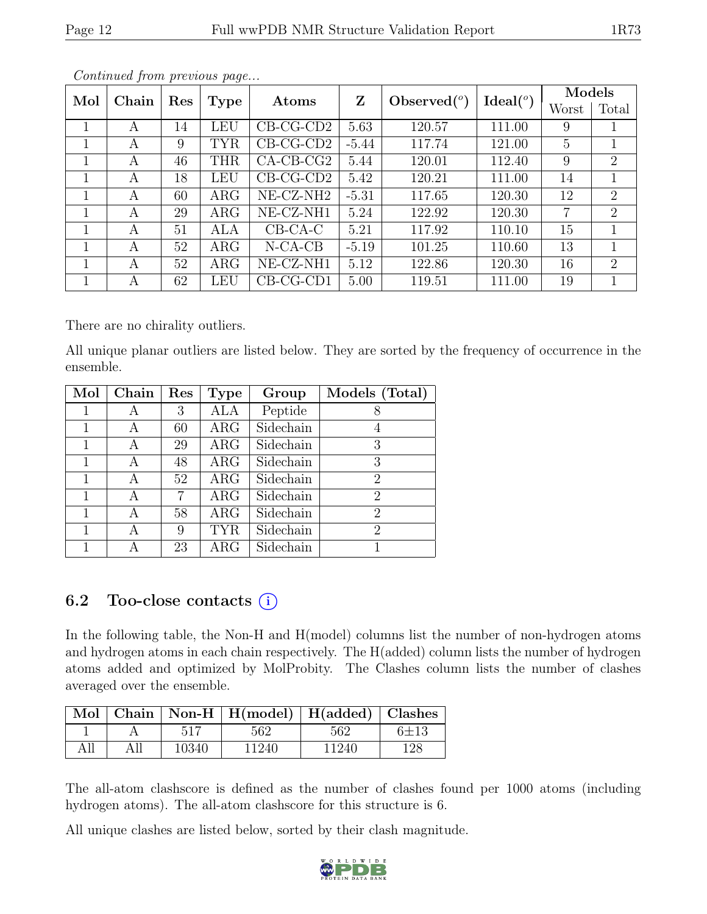| Mol |       |     |               |                       | Z                  |        |        | Models |                |
|-----|-------|-----|---------------|-----------------------|--------------------|--------|--------|--------|----------------|
|     | Chain | Res | Type<br>Atoms | Observed $(°)$        | Ideal <sup>o</sup> | Worst  | Total  |        |                |
|     | A     | 14  | LEU           | $CB-CG-CD2$           | 5.63               | 120.57 | 111.00 | 9      |                |
| 1   | A     | 9   | <b>TYR</b>    | $CB-CG-CD2$           | $-5.44$            | 117.74 | 121.00 | 5      |                |
| 1   | А     | 46  | <b>THR</b>    | $CA-CB-CG2$           | 5.44               | 120.01 | 112.40 | 9      | $\overline{2}$ |
| 1   | A     | 18  | <b>LEU</b>    | $CB-CG-CD2$           | 5.42               | 120.21 | 111.00 | 14     |                |
|     | А     | 60  | $\rm{ARG}$    | NE-CZ-NH <sub>2</sub> | $-5.31$            | 117.65 | 120.30 | 12     | $\overline{2}$ |
|     | А     | 29  | ARG           | NE-CZ-NH1             | 5.24               | 122.92 | 120.30 | 7      | $\overline{2}$ |
|     | А     | 51  | ALA           | $CB-CA-C$             | 5.21               | 117.92 | 110.10 | 15     |                |
| 1   | A     | 52  | $\rm{ARG}$    | $N-CA-CB$             | $-5.19$            | 101.25 | 110.60 | 13     |                |
| 1   | A     | 52  | $\rm{ARG}$    | NE-CZ-NH1             | 5.12               | 122.86 | 120.30 | 16     | 2              |
|     | А     | 62  | LEU           | $CB-CG-CD1$           | 5.00               | 119.51 | 111.00 | 19     |                |

Continued from previous page...

There are no chirality outliers.

All unique planar outliers are listed below. They are sorted by the frequency of occurrence in the ensemble.

| Mol | $\overline{\text{Chain}}$ | Res | <b>Type</b> | Group     | Models (Total)              |
|-----|---------------------------|-----|-------------|-----------|-----------------------------|
| 1   | А                         | 3   | ALA         | Peptide   |                             |
| 1   | А                         | 60  | $\rm{ARG}$  | Sidechain |                             |
|     | А                         | 29  | $\rm{ARG}$  | Sidechain | 3                           |
|     | А                         | 48  | $\rm{ARG}$  | Sidechain | 3                           |
|     | А                         | 52  | $\rm{ARG}$  | Sidechain | 2                           |
| 1   | А                         |     | $\rm{ARG}$  | Sidechain | 2                           |
| 1   | А                         | 58  | $\rm{ARG}$  | Sidechain | $\mathcal{D}_{\mathcal{L}}$ |
|     | А                         | 9   | <b>TYR</b>  | Sidechain | $\mathcal{D}_{\mathcal{A}}$ |
|     |                           | 23  | $\rm{ARG}$  | Sidechain |                             |

## 6.2 Too-close contacts  $(i)$

In the following table, the Non-H and H(model) columns list the number of non-hydrogen atoms and hydrogen atoms in each chain respectively. The H(added) column lists the number of hydrogen atoms added and optimized by MolProbity. The Clashes column lists the number of clashes averaged over the ensemble.

|     |       | Mol   Chain   Non-H   H(model)   H(added)   Clashes |       |            |
|-----|-------|-----------------------------------------------------|-------|------------|
|     | 517   | 562                                                 | 562   | $6 \pm 13$ |
| All | 10340 | 11240                                               | 11240 | 128        |

The all-atom clashscore is defined as the number of clashes found per 1000 atoms (including hydrogen atoms). The all-atom clashscore for this structure is 6.

All unique clashes are listed below, sorted by their clash magnitude.

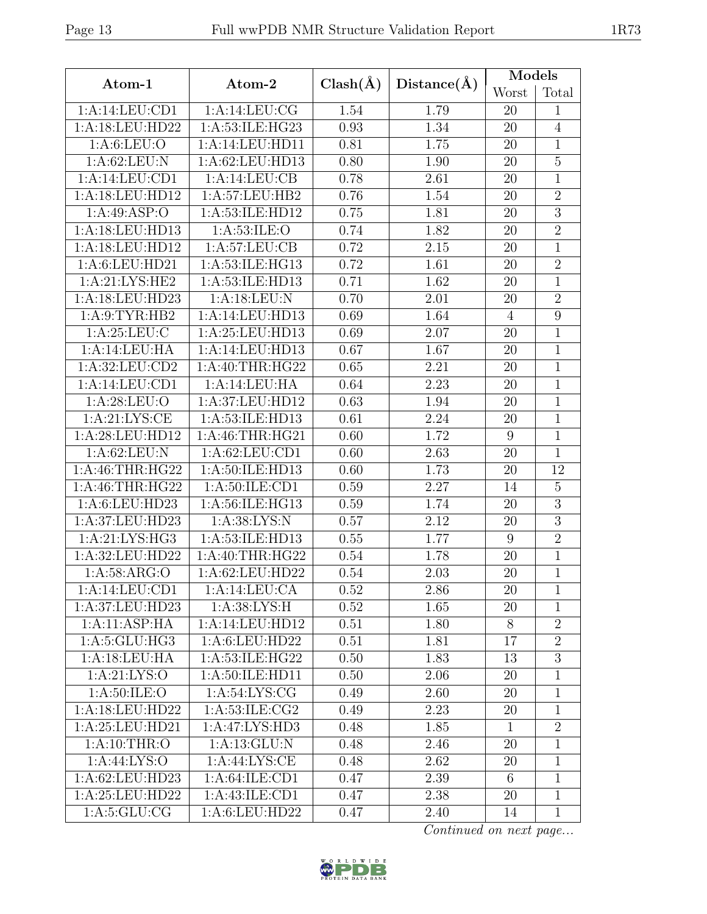| Worst<br>Total<br>1:A:14:LEU:CD1<br>1:A:14:LEU:CG<br>1.54<br>1.79<br>20<br>$\mathbf{1}$<br>1:A:18:LEU:HD22<br>1: A:53: ILE: HG23<br>0.93<br>1.34<br>20<br>$\overline{4}$<br>1: A:6: LEU:O<br>1:A:14:LEU:HD11<br>1.75<br>$\mathbf{1}$<br>0.81<br>20<br>1:A:62:LEU:N<br>$\overline{5}$<br>1:A:62:LEU:HD13<br>0.80<br>1.90<br>20<br>$\overline{1}$<br>1:A:14:LEU:CD1<br>1:A:14:LEU:CB<br>2.61<br>0.78<br>20<br>1:A:18:LEU:HD12<br>1:A:57:LEU:HB2<br>0.76<br>1.54<br>$\sqrt{2}$<br>20<br>$\overline{3}$<br>1: A:49: ASP:O<br>1.81<br>1:A:53:ILE:HD12<br>0.75<br>20<br>$\overline{2}$<br>1:A:18:LEU:HD13<br>1:A:53:ILE:O<br>1.82<br>0.74<br>20<br>1: A:57: LEU: CB<br>0.72<br>2.15<br>$\mathbf{1}$<br>1:A:18:LEU:HD12<br>20<br>$\overline{2}$<br>1:A:6:LEU:HD21<br>1:A:53:ILE:HG13<br>0.72<br>1.61<br>20<br>1:A:21:LYS:HE2<br>1.62<br>$\mathbf{1}$<br>1:A:53:ILE:HD13<br>0.71<br>20<br>$\overline{2}$<br>1:A:18:LEU:HD23<br>1: A:18:LEU: N<br>0.70<br>2.01<br>20<br>1.64<br>9<br>1: A:9: TYR: HB2<br>1:A:14:LEU:HD13<br>0.69<br>$\overline{4}$<br>1: A:25:LEU:C<br>1: A:25:LEU:HD13<br>$\mathbf{1}$<br>0.69<br>2.07<br>20<br>$\overline{1}$<br>1:A:14:LEU:HA<br>1:A:14:LEU:HD13<br>0.67<br>1.67<br>20<br>1:A:32:LEU:CD2<br>1: A:40:THR:HG22<br>$\mathbf{1}$<br>0.65<br>2.21<br>20<br>$\overline{2.23}$<br>1:A:14:LEU:CD1<br>1:A:14:LEU:HA<br>0.64<br>20<br>$\mathbf{1}$<br>1: A:28:LEU:O<br>1:A:37:LEU:HD12<br>0.63<br>1.94<br>20<br>$\mathbf{1}$<br>1:A:21:LYS:CE<br>1:A:53:ILE:HD13<br>0.61<br>2.24<br>$\mathbf{1}$<br>20<br>1:A:28:LEU:HD12<br>1: A:46:THR:HG21<br>1.72<br>0.60<br>9<br>$\mathbf{1}$<br>1: A:62:LEU: N<br>1: A:62:LEU:CD1<br>0.60<br>2.63<br>20<br>$\mathbf{1}$<br>1.73<br>1: A:46:THR:HG22<br>1:A:50:ILE:HD13<br>0.60<br>12<br>20<br>1:A:46:THR:HG22<br>1: A:50: ILE: CD1<br>2.27<br>$\overline{5}$<br>0.59<br>14<br>$\overline{3}$<br>1:A:6:LEU:HD23<br>1:A:56:ILE:HG13<br>1.74<br>0.59<br>20<br>3<br>1:A:37:LEU:HD23<br>1:A:38:LYS:N<br>0.57<br>2.12<br>20<br>1:A:21:LYS:HG3<br>1.77<br>$\sqrt{2}$<br>1:A:53:ILE:HD13<br>0.55<br>9<br>1:A:32:LEU:HD22<br>1: A:40:THR:HG22<br>1.78<br>$\mathbf{1}$<br>0.54<br>20<br>1: A:58: ARG:O<br>1:A:62:LEU:HD22<br>0.54<br>2.03<br>$\mathbf{1}$<br>20<br>1:A:14:LEU:CD1<br>1:A:14:LEU:CA<br>0.52<br>2.86<br>20<br>$\mathbf{1}$<br>1:A:37:LEU:HD23<br>1: A:38: LYS:H<br>0.52<br>1.65<br>20<br>1<br>1:A:11:ASP:HA<br>1:A:14:LEU:HD12<br>0.51<br>1.80<br>8<br>$\overline{2}$<br>1: A:5: GLU: HG3<br>1:A:6:LEU:HD22<br>0.51<br>1.81<br>17<br>$\overline{2}$<br>1:A:18:LEU:HA<br>1:A:53:ILE:HG22<br>3<br>0.50<br>1.83<br>13<br>1: A:21: LYS:O<br>1: A:50: ILE: HD11<br>0.50<br>2.06<br>$\mathbf{1}$<br>20<br>1: A:50: ILE: O<br>1: A:54: LYS: CG<br>0.49<br>2.60<br>20<br>$\mathbf{1}$<br>1:A:18:LEU:HD22<br>1:A:53:ILE:CG2<br>0.49<br>2.23<br>20<br>$\mathbf{1}$<br>1:A:25:LEU:HD21<br>1:A:47:LYS:HD3<br>1.85<br>$\overline{2}$<br>0.48<br>$\mathbf{1}$<br>1: A:10:THR:O<br>1: A: 13: GLU: N<br>0.48<br>2.46<br>20<br>$\mathbf{1}$<br>1: A:44: LYS:O<br>1:A:44:LYS:CE<br>0.48<br>2.62<br>20<br>$\mathbf{1}$<br>1:A:62:LEU:HD23<br>1: A:64:ILE:CD1<br>0.47<br>2.39<br>6<br>$\mathbf{1}$<br>1:A:25:LEU:HD22<br>1:A:43:ILE:CD1<br>2.38<br>20<br>0.47<br>$\mathbf{1}$<br>1: A:5: GLU: CG<br>1:A:6:LEU:HD22<br>0.47<br>2.40<br>14<br>$\mathbf{1}$ | Atom-1 | Atom-2 | $Clash(\AA)$ | Distance(A) | Models |  |
|------------------------------------------------------------------------------------------------------------------------------------------------------------------------------------------------------------------------------------------------------------------------------------------------------------------------------------------------------------------------------------------------------------------------------------------------------------------------------------------------------------------------------------------------------------------------------------------------------------------------------------------------------------------------------------------------------------------------------------------------------------------------------------------------------------------------------------------------------------------------------------------------------------------------------------------------------------------------------------------------------------------------------------------------------------------------------------------------------------------------------------------------------------------------------------------------------------------------------------------------------------------------------------------------------------------------------------------------------------------------------------------------------------------------------------------------------------------------------------------------------------------------------------------------------------------------------------------------------------------------------------------------------------------------------------------------------------------------------------------------------------------------------------------------------------------------------------------------------------------------------------------------------------------------------------------------------------------------------------------------------------------------------------------------------------------------------------------------------------------------------------------------------------------------------------------------------------------------------------------------------------------------------------------------------------------------------------------------------------------------------------------------------------------------------------------------------------------------------------------------------------------------------------------------------------------------------------------------------------------------------------------------------------------------------------------------------------------------------------------------------------------------------------------------------------------------------------------------------------------------------------------------------------------------------------------------------------------------------------------------------------------------------------------------------------------------------------------------------------------------------------------------------------------------------------------------------------------------------------------------------------------------------------------------|--------|--------|--------------|-------------|--------|--|
|                                                                                                                                                                                                                                                                                                                                                                                                                                                                                                                                                                                                                                                                                                                                                                                                                                                                                                                                                                                                                                                                                                                                                                                                                                                                                                                                                                                                                                                                                                                                                                                                                                                                                                                                                                                                                                                                                                                                                                                                                                                                                                                                                                                                                                                                                                                                                                                                                                                                                                                                                                                                                                                                                                                                                                                                                                                                                                                                                                                                                                                                                                                                                                                                                                                                                                |        |        |              |             |        |  |
|                                                                                                                                                                                                                                                                                                                                                                                                                                                                                                                                                                                                                                                                                                                                                                                                                                                                                                                                                                                                                                                                                                                                                                                                                                                                                                                                                                                                                                                                                                                                                                                                                                                                                                                                                                                                                                                                                                                                                                                                                                                                                                                                                                                                                                                                                                                                                                                                                                                                                                                                                                                                                                                                                                                                                                                                                                                                                                                                                                                                                                                                                                                                                                                                                                                                                                |        |        |              |             |        |  |
|                                                                                                                                                                                                                                                                                                                                                                                                                                                                                                                                                                                                                                                                                                                                                                                                                                                                                                                                                                                                                                                                                                                                                                                                                                                                                                                                                                                                                                                                                                                                                                                                                                                                                                                                                                                                                                                                                                                                                                                                                                                                                                                                                                                                                                                                                                                                                                                                                                                                                                                                                                                                                                                                                                                                                                                                                                                                                                                                                                                                                                                                                                                                                                                                                                                                                                |        |        |              |             |        |  |
|                                                                                                                                                                                                                                                                                                                                                                                                                                                                                                                                                                                                                                                                                                                                                                                                                                                                                                                                                                                                                                                                                                                                                                                                                                                                                                                                                                                                                                                                                                                                                                                                                                                                                                                                                                                                                                                                                                                                                                                                                                                                                                                                                                                                                                                                                                                                                                                                                                                                                                                                                                                                                                                                                                                                                                                                                                                                                                                                                                                                                                                                                                                                                                                                                                                                                                |        |        |              |             |        |  |
|                                                                                                                                                                                                                                                                                                                                                                                                                                                                                                                                                                                                                                                                                                                                                                                                                                                                                                                                                                                                                                                                                                                                                                                                                                                                                                                                                                                                                                                                                                                                                                                                                                                                                                                                                                                                                                                                                                                                                                                                                                                                                                                                                                                                                                                                                                                                                                                                                                                                                                                                                                                                                                                                                                                                                                                                                                                                                                                                                                                                                                                                                                                                                                                                                                                                                                |        |        |              |             |        |  |
|                                                                                                                                                                                                                                                                                                                                                                                                                                                                                                                                                                                                                                                                                                                                                                                                                                                                                                                                                                                                                                                                                                                                                                                                                                                                                                                                                                                                                                                                                                                                                                                                                                                                                                                                                                                                                                                                                                                                                                                                                                                                                                                                                                                                                                                                                                                                                                                                                                                                                                                                                                                                                                                                                                                                                                                                                                                                                                                                                                                                                                                                                                                                                                                                                                                                                                |        |        |              |             |        |  |
|                                                                                                                                                                                                                                                                                                                                                                                                                                                                                                                                                                                                                                                                                                                                                                                                                                                                                                                                                                                                                                                                                                                                                                                                                                                                                                                                                                                                                                                                                                                                                                                                                                                                                                                                                                                                                                                                                                                                                                                                                                                                                                                                                                                                                                                                                                                                                                                                                                                                                                                                                                                                                                                                                                                                                                                                                                                                                                                                                                                                                                                                                                                                                                                                                                                                                                |        |        |              |             |        |  |
|                                                                                                                                                                                                                                                                                                                                                                                                                                                                                                                                                                                                                                                                                                                                                                                                                                                                                                                                                                                                                                                                                                                                                                                                                                                                                                                                                                                                                                                                                                                                                                                                                                                                                                                                                                                                                                                                                                                                                                                                                                                                                                                                                                                                                                                                                                                                                                                                                                                                                                                                                                                                                                                                                                                                                                                                                                                                                                                                                                                                                                                                                                                                                                                                                                                                                                |        |        |              |             |        |  |
|                                                                                                                                                                                                                                                                                                                                                                                                                                                                                                                                                                                                                                                                                                                                                                                                                                                                                                                                                                                                                                                                                                                                                                                                                                                                                                                                                                                                                                                                                                                                                                                                                                                                                                                                                                                                                                                                                                                                                                                                                                                                                                                                                                                                                                                                                                                                                                                                                                                                                                                                                                                                                                                                                                                                                                                                                                                                                                                                                                                                                                                                                                                                                                                                                                                                                                |        |        |              |             |        |  |
|                                                                                                                                                                                                                                                                                                                                                                                                                                                                                                                                                                                                                                                                                                                                                                                                                                                                                                                                                                                                                                                                                                                                                                                                                                                                                                                                                                                                                                                                                                                                                                                                                                                                                                                                                                                                                                                                                                                                                                                                                                                                                                                                                                                                                                                                                                                                                                                                                                                                                                                                                                                                                                                                                                                                                                                                                                                                                                                                                                                                                                                                                                                                                                                                                                                                                                |        |        |              |             |        |  |
|                                                                                                                                                                                                                                                                                                                                                                                                                                                                                                                                                                                                                                                                                                                                                                                                                                                                                                                                                                                                                                                                                                                                                                                                                                                                                                                                                                                                                                                                                                                                                                                                                                                                                                                                                                                                                                                                                                                                                                                                                                                                                                                                                                                                                                                                                                                                                                                                                                                                                                                                                                                                                                                                                                                                                                                                                                                                                                                                                                                                                                                                                                                                                                                                                                                                                                |        |        |              |             |        |  |
|                                                                                                                                                                                                                                                                                                                                                                                                                                                                                                                                                                                                                                                                                                                                                                                                                                                                                                                                                                                                                                                                                                                                                                                                                                                                                                                                                                                                                                                                                                                                                                                                                                                                                                                                                                                                                                                                                                                                                                                                                                                                                                                                                                                                                                                                                                                                                                                                                                                                                                                                                                                                                                                                                                                                                                                                                                                                                                                                                                                                                                                                                                                                                                                                                                                                                                |        |        |              |             |        |  |
|                                                                                                                                                                                                                                                                                                                                                                                                                                                                                                                                                                                                                                                                                                                                                                                                                                                                                                                                                                                                                                                                                                                                                                                                                                                                                                                                                                                                                                                                                                                                                                                                                                                                                                                                                                                                                                                                                                                                                                                                                                                                                                                                                                                                                                                                                                                                                                                                                                                                                                                                                                                                                                                                                                                                                                                                                                                                                                                                                                                                                                                                                                                                                                                                                                                                                                |        |        |              |             |        |  |
|                                                                                                                                                                                                                                                                                                                                                                                                                                                                                                                                                                                                                                                                                                                                                                                                                                                                                                                                                                                                                                                                                                                                                                                                                                                                                                                                                                                                                                                                                                                                                                                                                                                                                                                                                                                                                                                                                                                                                                                                                                                                                                                                                                                                                                                                                                                                                                                                                                                                                                                                                                                                                                                                                                                                                                                                                                                                                                                                                                                                                                                                                                                                                                                                                                                                                                |        |        |              |             |        |  |
|                                                                                                                                                                                                                                                                                                                                                                                                                                                                                                                                                                                                                                                                                                                                                                                                                                                                                                                                                                                                                                                                                                                                                                                                                                                                                                                                                                                                                                                                                                                                                                                                                                                                                                                                                                                                                                                                                                                                                                                                                                                                                                                                                                                                                                                                                                                                                                                                                                                                                                                                                                                                                                                                                                                                                                                                                                                                                                                                                                                                                                                                                                                                                                                                                                                                                                |        |        |              |             |        |  |
|                                                                                                                                                                                                                                                                                                                                                                                                                                                                                                                                                                                                                                                                                                                                                                                                                                                                                                                                                                                                                                                                                                                                                                                                                                                                                                                                                                                                                                                                                                                                                                                                                                                                                                                                                                                                                                                                                                                                                                                                                                                                                                                                                                                                                                                                                                                                                                                                                                                                                                                                                                                                                                                                                                                                                                                                                                                                                                                                                                                                                                                                                                                                                                                                                                                                                                |        |        |              |             |        |  |
|                                                                                                                                                                                                                                                                                                                                                                                                                                                                                                                                                                                                                                                                                                                                                                                                                                                                                                                                                                                                                                                                                                                                                                                                                                                                                                                                                                                                                                                                                                                                                                                                                                                                                                                                                                                                                                                                                                                                                                                                                                                                                                                                                                                                                                                                                                                                                                                                                                                                                                                                                                                                                                                                                                                                                                                                                                                                                                                                                                                                                                                                                                                                                                                                                                                                                                |        |        |              |             |        |  |
|                                                                                                                                                                                                                                                                                                                                                                                                                                                                                                                                                                                                                                                                                                                                                                                                                                                                                                                                                                                                                                                                                                                                                                                                                                                                                                                                                                                                                                                                                                                                                                                                                                                                                                                                                                                                                                                                                                                                                                                                                                                                                                                                                                                                                                                                                                                                                                                                                                                                                                                                                                                                                                                                                                                                                                                                                                                                                                                                                                                                                                                                                                                                                                                                                                                                                                |        |        |              |             |        |  |
|                                                                                                                                                                                                                                                                                                                                                                                                                                                                                                                                                                                                                                                                                                                                                                                                                                                                                                                                                                                                                                                                                                                                                                                                                                                                                                                                                                                                                                                                                                                                                                                                                                                                                                                                                                                                                                                                                                                                                                                                                                                                                                                                                                                                                                                                                                                                                                                                                                                                                                                                                                                                                                                                                                                                                                                                                                                                                                                                                                                                                                                                                                                                                                                                                                                                                                |        |        |              |             |        |  |
|                                                                                                                                                                                                                                                                                                                                                                                                                                                                                                                                                                                                                                                                                                                                                                                                                                                                                                                                                                                                                                                                                                                                                                                                                                                                                                                                                                                                                                                                                                                                                                                                                                                                                                                                                                                                                                                                                                                                                                                                                                                                                                                                                                                                                                                                                                                                                                                                                                                                                                                                                                                                                                                                                                                                                                                                                                                                                                                                                                                                                                                                                                                                                                                                                                                                                                |        |        |              |             |        |  |
|                                                                                                                                                                                                                                                                                                                                                                                                                                                                                                                                                                                                                                                                                                                                                                                                                                                                                                                                                                                                                                                                                                                                                                                                                                                                                                                                                                                                                                                                                                                                                                                                                                                                                                                                                                                                                                                                                                                                                                                                                                                                                                                                                                                                                                                                                                                                                                                                                                                                                                                                                                                                                                                                                                                                                                                                                                                                                                                                                                                                                                                                                                                                                                                                                                                                                                |        |        |              |             |        |  |
|                                                                                                                                                                                                                                                                                                                                                                                                                                                                                                                                                                                                                                                                                                                                                                                                                                                                                                                                                                                                                                                                                                                                                                                                                                                                                                                                                                                                                                                                                                                                                                                                                                                                                                                                                                                                                                                                                                                                                                                                                                                                                                                                                                                                                                                                                                                                                                                                                                                                                                                                                                                                                                                                                                                                                                                                                                                                                                                                                                                                                                                                                                                                                                                                                                                                                                |        |        |              |             |        |  |
|                                                                                                                                                                                                                                                                                                                                                                                                                                                                                                                                                                                                                                                                                                                                                                                                                                                                                                                                                                                                                                                                                                                                                                                                                                                                                                                                                                                                                                                                                                                                                                                                                                                                                                                                                                                                                                                                                                                                                                                                                                                                                                                                                                                                                                                                                                                                                                                                                                                                                                                                                                                                                                                                                                                                                                                                                                                                                                                                                                                                                                                                                                                                                                                                                                                                                                |        |        |              |             |        |  |
|                                                                                                                                                                                                                                                                                                                                                                                                                                                                                                                                                                                                                                                                                                                                                                                                                                                                                                                                                                                                                                                                                                                                                                                                                                                                                                                                                                                                                                                                                                                                                                                                                                                                                                                                                                                                                                                                                                                                                                                                                                                                                                                                                                                                                                                                                                                                                                                                                                                                                                                                                                                                                                                                                                                                                                                                                                                                                                                                                                                                                                                                                                                                                                                                                                                                                                |        |        |              |             |        |  |
|                                                                                                                                                                                                                                                                                                                                                                                                                                                                                                                                                                                                                                                                                                                                                                                                                                                                                                                                                                                                                                                                                                                                                                                                                                                                                                                                                                                                                                                                                                                                                                                                                                                                                                                                                                                                                                                                                                                                                                                                                                                                                                                                                                                                                                                                                                                                                                                                                                                                                                                                                                                                                                                                                                                                                                                                                                                                                                                                                                                                                                                                                                                                                                                                                                                                                                |        |        |              |             |        |  |
|                                                                                                                                                                                                                                                                                                                                                                                                                                                                                                                                                                                                                                                                                                                                                                                                                                                                                                                                                                                                                                                                                                                                                                                                                                                                                                                                                                                                                                                                                                                                                                                                                                                                                                                                                                                                                                                                                                                                                                                                                                                                                                                                                                                                                                                                                                                                                                                                                                                                                                                                                                                                                                                                                                                                                                                                                                                                                                                                                                                                                                                                                                                                                                                                                                                                                                |        |        |              |             |        |  |
|                                                                                                                                                                                                                                                                                                                                                                                                                                                                                                                                                                                                                                                                                                                                                                                                                                                                                                                                                                                                                                                                                                                                                                                                                                                                                                                                                                                                                                                                                                                                                                                                                                                                                                                                                                                                                                                                                                                                                                                                                                                                                                                                                                                                                                                                                                                                                                                                                                                                                                                                                                                                                                                                                                                                                                                                                                                                                                                                                                                                                                                                                                                                                                                                                                                                                                |        |        |              |             |        |  |
|                                                                                                                                                                                                                                                                                                                                                                                                                                                                                                                                                                                                                                                                                                                                                                                                                                                                                                                                                                                                                                                                                                                                                                                                                                                                                                                                                                                                                                                                                                                                                                                                                                                                                                                                                                                                                                                                                                                                                                                                                                                                                                                                                                                                                                                                                                                                                                                                                                                                                                                                                                                                                                                                                                                                                                                                                                                                                                                                                                                                                                                                                                                                                                                                                                                                                                |        |        |              |             |        |  |
|                                                                                                                                                                                                                                                                                                                                                                                                                                                                                                                                                                                                                                                                                                                                                                                                                                                                                                                                                                                                                                                                                                                                                                                                                                                                                                                                                                                                                                                                                                                                                                                                                                                                                                                                                                                                                                                                                                                                                                                                                                                                                                                                                                                                                                                                                                                                                                                                                                                                                                                                                                                                                                                                                                                                                                                                                                                                                                                                                                                                                                                                                                                                                                                                                                                                                                |        |        |              |             |        |  |
|                                                                                                                                                                                                                                                                                                                                                                                                                                                                                                                                                                                                                                                                                                                                                                                                                                                                                                                                                                                                                                                                                                                                                                                                                                                                                                                                                                                                                                                                                                                                                                                                                                                                                                                                                                                                                                                                                                                                                                                                                                                                                                                                                                                                                                                                                                                                                                                                                                                                                                                                                                                                                                                                                                                                                                                                                                                                                                                                                                                                                                                                                                                                                                                                                                                                                                |        |        |              |             |        |  |
|                                                                                                                                                                                                                                                                                                                                                                                                                                                                                                                                                                                                                                                                                                                                                                                                                                                                                                                                                                                                                                                                                                                                                                                                                                                                                                                                                                                                                                                                                                                                                                                                                                                                                                                                                                                                                                                                                                                                                                                                                                                                                                                                                                                                                                                                                                                                                                                                                                                                                                                                                                                                                                                                                                                                                                                                                                                                                                                                                                                                                                                                                                                                                                                                                                                                                                |        |        |              |             |        |  |
|                                                                                                                                                                                                                                                                                                                                                                                                                                                                                                                                                                                                                                                                                                                                                                                                                                                                                                                                                                                                                                                                                                                                                                                                                                                                                                                                                                                                                                                                                                                                                                                                                                                                                                                                                                                                                                                                                                                                                                                                                                                                                                                                                                                                                                                                                                                                                                                                                                                                                                                                                                                                                                                                                                                                                                                                                                                                                                                                                                                                                                                                                                                                                                                                                                                                                                |        |        |              |             |        |  |
|                                                                                                                                                                                                                                                                                                                                                                                                                                                                                                                                                                                                                                                                                                                                                                                                                                                                                                                                                                                                                                                                                                                                                                                                                                                                                                                                                                                                                                                                                                                                                                                                                                                                                                                                                                                                                                                                                                                                                                                                                                                                                                                                                                                                                                                                                                                                                                                                                                                                                                                                                                                                                                                                                                                                                                                                                                                                                                                                                                                                                                                                                                                                                                                                                                                                                                |        |        |              |             |        |  |
|                                                                                                                                                                                                                                                                                                                                                                                                                                                                                                                                                                                                                                                                                                                                                                                                                                                                                                                                                                                                                                                                                                                                                                                                                                                                                                                                                                                                                                                                                                                                                                                                                                                                                                                                                                                                                                                                                                                                                                                                                                                                                                                                                                                                                                                                                                                                                                                                                                                                                                                                                                                                                                                                                                                                                                                                                                                                                                                                                                                                                                                                                                                                                                                                                                                                                                |        |        |              |             |        |  |
|                                                                                                                                                                                                                                                                                                                                                                                                                                                                                                                                                                                                                                                                                                                                                                                                                                                                                                                                                                                                                                                                                                                                                                                                                                                                                                                                                                                                                                                                                                                                                                                                                                                                                                                                                                                                                                                                                                                                                                                                                                                                                                                                                                                                                                                                                                                                                                                                                                                                                                                                                                                                                                                                                                                                                                                                                                                                                                                                                                                                                                                                                                                                                                                                                                                                                                |        |        |              |             |        |  |
|                                                                                                                                                                                                                                                                                                                                                                                                                                                                                                                                                                                                                                                                                                                                                                                                                                                                                                                                                                                                                                                                                                                                                                                                                                                                                                                                                                                                                                                                                                                                                                                                                                                                                                                                                                                                                                                                                                                                                                                                                                                                                                                                                                                                                                                                                                                                                                                                                                                                                                                                                                                                                                                                                                                                                                                                                                                                                                                                                                                                                                                                                                                                                                                                                                                                                                |        |        |              |             |        |  |
|                                                                                                                                                                                                                                                                                                                                                                                                                                                                                                                                                                                                                                                                                                                                                                                                                                                                                                                                                                                                                                                                                                                                                                                                                                                                                                                                                                                                                                                                                                                                                                                                                                                                                                                                                                                                                                                                                                                                                                                                                                                                                                                                                                                                                                                                                                                                                                                                                                                                                                                                                                                                                                                                                                                                                                                                                                                                                                                                                                                                                                                                                                                                                                                                                                                                                                |        |        |              |             |        |  |
|                                                                                                                                                                                                                                                                                                                                                                                                                                                                                                                                                                                                                                                                                                                                                                                                                                                                                                                                                                                                                                                                                                                                                                                                                                                                                                                                                                                                                                                                                                                                                                                                                                                                                                                                                                                                                                                                                                                                                                                                                                                                                                                                                                                                                                                                                                                                                                                                                                                                                                                                                                                                                                                                                                                                                                                                                                                                                                                                                                                                                                                                                                                                                                                                                                                                                                |        |        |              |             |        |  |
|                                                                                                                                                                                                                                                                                                                                                                                                                                                                                                                                                                                                                                                                                                                                                                                                                                                                                                                                                                                                                                                                                                                                                                                                                                                                                                                                                                                                                                                                                                                                                                                                                                                                                                                                                                                                                                                                                                                                                                                                                                                                                                                                                                                                                                                                                                                                                                                                                                                                                                                                                                                                                                                                                                                                                                                                                                                                                                                                                                                                                                                                                                                                                                                                                                                                                                |        |        |              |             |        |  |
|                                                                                                                                                                                                                                                                                                                                                                                                                                                                                                                                                                                                                                                                                                                                                                                                                                                                                                                                                                                                                                                                                                                                                                                                                                                                                                                                                                                                                                                                                                                                                                                                                                                                                                                                                                                                                                                                                                                                                                                                                                                                                                                                                                                                                                                                                                                                                                                                                                                                                                                                                                                                                                                                                                                                                                                                                                                                                                                                                                                                                                                                                                                                                                                                                                                                                                |        |        |              |             |        |  |
|                                                                                                                                                                                                                                                                                                                                                                                                                                                                                                                                                                                                                                                                                                                                                                                                                                                                                                                                                                                                                                                                                                                                                                                                                                                                                                                                                                                                                                                                                                                                                                                                                                                                                                                                                                                                                                                                                                                                                                                                                                                                                                                                                                                                                                                                                                                                                                                                                                                                                                                                                                                                                                                                                                                                                                                                                                                                                                                                                                                                                                                                                                                                                                                                                                                                                                |        |        |              |             |        |  |
|                                                                                                                                                                                                                                                                                                                                                                                                                                                                                                                                                                                                                                                                                                                                                                                                                                                                                                                                                                                                                                                                                                                                                                                                                                                                                                                                                                                                                                                                                                                                                                                                                                                                                                                                                                                                                                                                                                                                                                                                                                                                                                                                                                                                                                                                                                                                                                                                                                                                                                                                                                                                                                                                                                                                                                                                                                                                                                                                                                                                                                                                                                                                                                                                                                                                                                |        |        |              |             |        |  |
|                                                                                                                                                                                                                                                                                                                                                                                                                                                                                                                                                                                                                                                                                                                                                                                                                                                                                                                                                                                                                                                                                                                                                                                                                                                                                                                                                                                                                                                                                                                                                                                                                                                                                                                                                                                                                                                                                                                                                                                                                                                                                                                                                                                                                                                                                                                                                                                                                                                                                                                                                                                                                                                                                                                                                                                                                                                                                                                                                                                                                                                                                                                                                                                                                                                                                                |        |        |              |             |        |  |

Continued on next page...

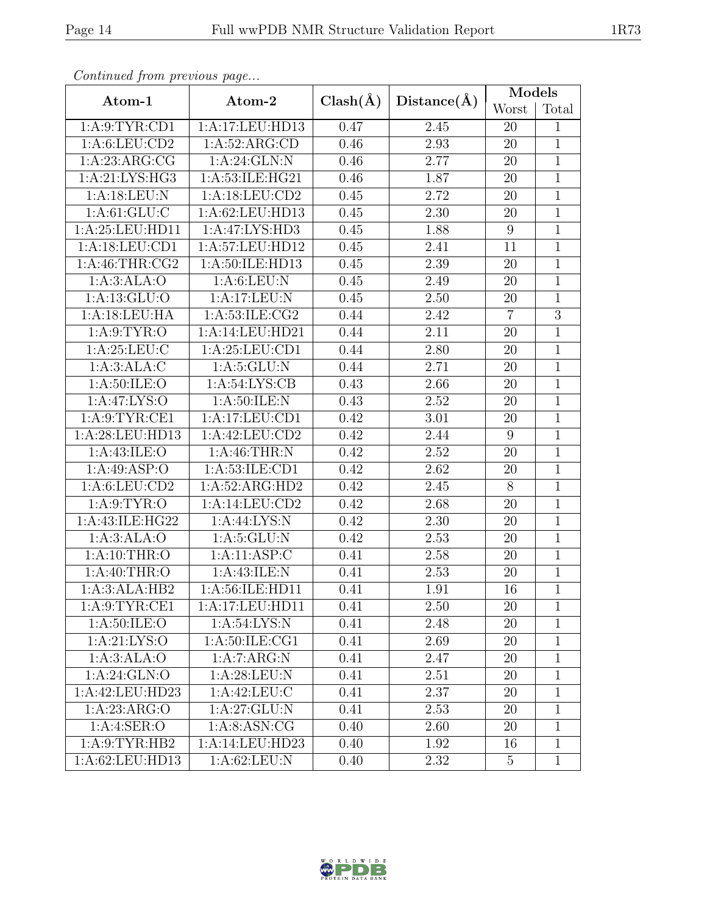| Continueu from previous page |                    |              |             | Models          |                |
|------------------------------|--------------------|--------------|-------------|-----------------|----------------|
| Atom-1                       | Atom-2             | $Clash(\AA)$ | Distance(A) | Worst           | Total          |
| 1: A:9: TYR: CD1             | 1:A:17:LEU:HD13    | 0.47         | 2.45        | 20              | $\mathbf{1}$   |
| 1: A:6: LEU: CD2             | 1: A:52: ARG:CD    | 0.46         | 2.93        | 20              | $\mathbf{1}$   |
| 1: A:23: ARG:CG              | 1: A:24: GLN:N     | 0.46         | 2.77        | 20              | $\overline{1}$ |
| 1:A:21:LYS:HG3               | 1:A:53:ILE:HG21    | 0.46         | 1.87        | 20              | $\mathbf{1}$   |
| 1:A:18:LEU:N                 | 1: A:18: LEU:CD2   | 0.45         | 2.72        | 20              | $\mathbf{1}$   |
| 1: A:61: GLU:C               | 1:A:62:LEU:HD13    | 0.45         | 2.30        | 20              | $\mathbf{1}$   |
| 1:A:25:LEU:HD11              | 1:A:47:LYS:HD3     | 0.45         | 1.88        | $9\phantom{.0}$ | $\mathbf{1}$   |
| 1:A:18:LEU:CD1               | 1:A:57:LEU:HD12    | 0.45         | 2.41        | 11              | $\mathbf{1}$   |
| 1: A:46:THR:CG2              | 1: A:50: ILE: HD13 | 0.45         | 2.39        | 20              | $\overline{1}$ |
| 1:A:3:ALA:O                  | 1: A:6: LEU: N     | 0.45         | 2.49        | 20              | $\mathbf{1}$   |
| 1: A: 13: GLU: O             | 1:A:17:LEU:N       | 0.45         | $2.50\,$    | 20              | $\overline{1}$ |
| 1:A:18:LEU:HA                | 1: A:53: ILE: CG2  | 0.44         | 2.42        | $\overline{7}$  | $\overline{3}$ |
| 1: A:9: TYR:O                | 1:A:14:LEU:HD21    | 0.44         | 2.11        | 20              | $\overline{1}$ |
| 1: A:25:LEU:C                | 1:A:25:LEU:CD1     | 0.44         | 2.80        | $20\,$          | $\mathbf{1}$   |
| 1:A:3:ALA:C                  | 1: A:5: GLU: N     | 0.44         | 2.71        | 20              | $\mathbf{1}$   |
| 1: A:50: ILE: O              | 1: A:54: LYS: CB   | 0.43         | 2.66        | 20              | $\mathbf{1}$   |
| 1:A:47:LYS:O                 | 1: A:50: ILE:N     | 0.43         | 2.52        | 20              | $\mathbf{1}$   |
| 1: A:9: TYR: CE1             | 1:A:17:LEU:CD1     | 0.42         | 3.01        | 20              | $\overline{1}$ |
| 1:A:28:LEU:HD13              | 1:A:42:LEU:CD2     | 0.42         | 2.44        | 9               | $\overline{1}$ |
| 1: A:43: ILE: O              | 1: A:46:THR:N      | 0.42         | 2.52        | 20              | $\mathbf{1}$   |
| 1:A:49:ASP:O                 | 1: A:53: ILE: CD1  | 0.42         | 2.62        | 20              | $\mathbf{1}$   |
| 1: A:6: LEU: CD2             | 1:A:52:ARG:HD2     | 0.42         | 2.45        | $8\,$           | $\mathbf{1}$   |
| 1: A:9: TYR:O                | 1:A:14:LEU:CD2     | 0.42         | 2.68        | 20              | $\mathbf{1}$   |
| 1: A: 43: ILE: HG22          | 1:A:44:LYS:N       | 0.42         | 2.30        | 20              | $\mathbf{1}$   |
| 1:A:3:ALA:O                  | 1: A:5: GLU: N     | 0.42         | 2.53        | 20              | $\mathbf{1}$   |
| 1: A:10:THR:O                | 1:A:11:ASP:C       | 0.41         | 2.58        | 20              | $\overline{1}$ |
| 1: A:40:THR:O                | 1:A:43:ILE:N       | 0.41         | 2.53        | 20              | $\mathbf{1}$   |
| 1:A:3:ALA:HB2                | 1:A:56:ILE:HD11    | 0.41         | 1.91        | 16              | $\overline{1}$ |
| 1: A:9: TYR: CE1             | 1:A:17:LEU:HD11    | 0.41         | 2.50        | 20              | 1              |
| 1: A:50: ILE: O              | 1: A:54: LYS: N    | 0.41         | 2.48        | 20              | 1              |
| 1: A:21: LYS:O               | 1: A:50: ILE: CG1  | 0.41         | 2.69        | 20              | $\mathbf{1}$   |
| 1:A:3:ALA:O                  | 1:A:7:ARG:N        | 0.41         | 2.47        | 20              | $\mathbf{1}$   |
| 1: A:24: GLN:O               | 1: A:28:LEU: N     | 0.41         | 2.51        | 20              | 1              |
| 1:A:42:LEU:HD23              | 1:A:42:LEU:C       | 0.41         | 2.37        | 20              | $\mathbf{1}$   |
| 1:A:23:ARG:O                 | 1:A:27:GLU:N       | 0.41         | 2.53        | 20              | $\mathbf{1}$   |
| 1:A:4:SER:O                  | 1: A:8: ASN: CG    | 0.40         | 2.60        | 20              | $\mathbf{1}$   |
| 1:A:9:TYR:HB2                | 1:A:14:LEU:HD23    | 0.40         | 1.92        | 16              | $\mathbf{1}$   |
| 1:A:62:LEU:HD13              | 1: A:62:LEU: N     | 0.40         | 2.32        | $5\overline{)}$ | $\mathbf{1}$   |

Continued from previous page.

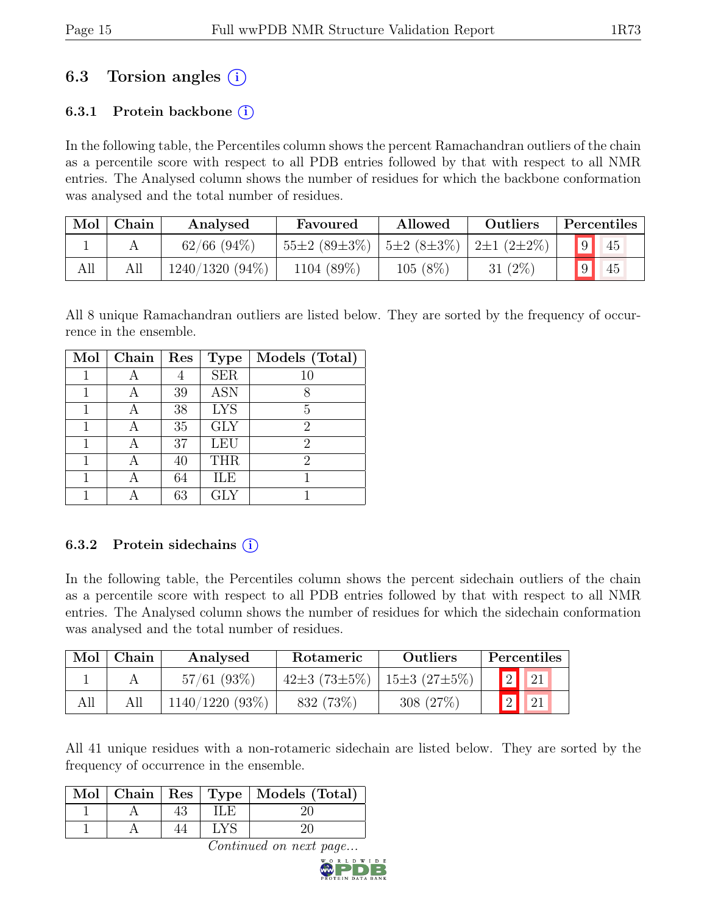## 6.3 Torsion angles  $(i)$

## 6.3.1 Protein backbone  $(i)$

In the following table, the Percentiles column shows the percent Ramachandran outliers of the chain as a percentile score with respect to all PDB entries followed by that with respect to all NMR entries. The Analysed column shows the number of residues for which the backbone conformation was analysed and the total number of residues.

| Mol | Chain | Allowed<br>Analysed<br>Favoured |                    | Outliers                                          |            | Percentiles |    |
|-----|-------|---------------------------------|--------------------|---------------------------------------------------|------------|-------------|----|
|     |       | $62/66$ $(94\%)$                | $55\pm2(89\pm3\%)$ | $\frac{1}{2}$ 5±2 (8±3%) $\frac{1}{2}$ 2±1 (2±2%) |            | $\boxed{9}$ | 45 |
| All |       | $1240/1320(94\%)$               | 1104 (89%)         | $105(8\%)$                                        | 31 $(2\%)$ | 9           | 45 |

All 8 unique Ramachandran outliers are listed below. They are sorted by the frequency of occurrence in the ensemble.

| Mol | Chain | Res | <b>Type</b> | Models (Total) |
|-----|-------|-----|-------------|----------------|
|     |       |     | <b>SER</b>  | 10             |
|     |       | 39  | <b>ASN</b>  | 8              |
|     | А     | 38  | <b>LYS</b>  | 5              |
|     | А     | 35  | <b>GLY</b>  | $\overline{2}$ |
|     | А     | 37  | <b>LEU</b>  | $\overline{2}$ |
|     | А     | 40  | <b>THR</b>  | $\overline{2}$ |
|     |       | 64  | ILE         |                |
|     |       | 63  | GLY         |                |

### 6.3.2 Protein sidechains  $(i)$

In the following table, the Percentiles column shows the percent sidechain outliers of the chain as a percentile score with respect to all PDB entries followed by that with respect to all NMR entries. The Analysed column shows the number of residues for which the sidechain conformation was analysed and the total number of residues.

| Mol | Chain | Analysed<br>Rotameric |                    | <b>Outliers</b>    |                | Percentiles              |
|-----|-------|-----------------------|--------------------|--------------------|----------------|--------------------------|
|     |       | $57/61$ (93\%)        | $42\pm3(73\pm5\%)$ | $15\pm3(27\pm5\%)$ |                | $\boxed{2}$ $\boxed{21}$ |
| All |       | $1140/1220(93\%)$     | 832 (73\%)         | 308 (27\%)         | $\overline{2}$ | $\vert$ 21               |

All 41 unique residues with a non-rotameric sidechain are listed below. They are sorted by the frequency of occurrence in the ensemble.

|  |  | Mol   Chain   Res   Type   Models (Total) |
|--|--|-------------------------------------------|
|  |  |                                           |
|  |  |                                           |

Continued on next page...

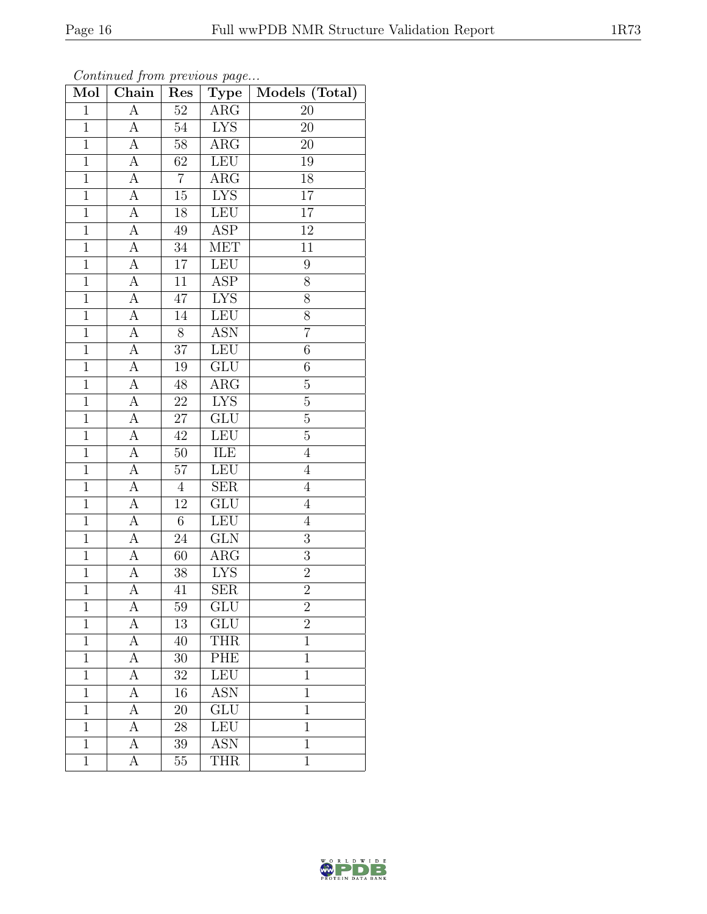| Mol            | Chain              | Res             | Type                    | Models (Total)   |
|----------------|--------------------|-----------------|-------------------------|------------------|
| $\mathbf{1}$   | $\boldsymbol{A}$   | $52\,$          | $\rm{ARG}$              | 20               |
| $\mathbf 1$    | А                  | $54\,$          | <b>LYS</b>              | 20               |
| $\overline{1}$ | $\overline{A}$     | $\overline{58}$ | $\overline{\text{ARG}}$ | 20               |
| $\mathbf 1$    | $\boldsymbol{A}$   | $62\,$          | LEU                     | $19\,$           |
| $\overline{1}$ | $\overline{A}$     | $\overline{7}$  | $\overline{\text{ARG}}$ | $\overline{18}$  |
| $\mathbf 1$    | $\boldsymbol{A}$   | $15\,$          | ${\rm LYS}$             | $17\,$           |
| $\mathbf{1}$   | $\overline{\rm A}$ | $18\,$          | LEU                     | $\overline{17}$  |
| $\mathbf{1}$   | $\overline{A}$     | 49              | $\overline{\text{ASP}}$ | 12               |
| $\overline{1}$ | $\overline{A}$     | $34\,$          | <b>MET</b>              | $\overline{11}$  |
| $\overline{1}$ | $\overline{A}$     | $\overline{17}$ | LEU                     | $\boldsymbol{9}$ |
| $\mathbf{1}$   | А                  | 11              | <b>ASP</b>              | $8\,$            |
| $\mathbf 1$    | $\overline{A}$     | 47              | <b>LYS</b>              | 8                |
| $\overline{1}$ | $\boldsymbol{A}$   | 14              | LEU                     | $\overline{8}$   |
| $\overline{1}$ | $\boldsymbol{A}$   | 8               | $A\overline{SN}$        | $\overline{7}$   |
| $\overline{1}$ | А                  | $\overline{37}$ | LEU                     | $\overline{6}$   |
| $\mathbf{1}$   | А                  | $19\,$          | GLU                     | $\sqrt{6}$       |
| $\mathbf 1$    | $\boldsymbol{A}$   | $48\,$          | $\overline{\text{ARG}}$ | $\overline{5}$   |
| $\mathbf{1}$   | A                  | $22\,$          | <b>LYS</b>              | $\bf 5$          |
| $\overline{1}$ | $\boldsymbol{A}$   | $27\,$          | GLU                     | $\overline{5}$   |
| $\overline{1}$ | А                  | $4\overline{2}$ | LEU                     | $\overline{5}$   |
| $\mathbf 1$    | А                  | $50\,$          | ILE                     | $\overline{4}$   |
| $\overline{1}$ | $\overline{A}$     | $\overline{57}$ | LEU                     | $\,4\,$          |
| $\mathbf 1$    | А                  | $\overline{4}$  | ${\rm SER}$             | $\overline{4}$   |
| $\overline{1}$ | $\overline{\rm A}$ | $\overline{12}$ | $\overline{\text{GLU}}$ | $\overline{4}$   |
| $\overline{1}$ | $\overline{A}$     | $6\,$           | LEU                     | $\overline{4}$   |
| $\mathbf{1}$   | A                  | 24              | GLN                     | $\mathfrak{Z}$   |
| $\mathbf{1}$   | $\overline{A}$     | 60              | $\overline{\text{ARG}}$ | $\overline{3}$   |
| $\overline{1}$ | $\overline{A}$     | $38\,$          | <b>LYS</b>              | $\overline{2}$   |
| $\overline{1}$ | $\overline{\rm A}$ | 41              | $\overline{\text{SER}}$ | $\overline{2}$   |
| $\mathbf 1$    | А                  | 59              | $\overline{\text{GLU}}$ | $\overline{2}$   |
| 1              | $\boldsymbol{A}$   | 13              | GLU                     | $\overline{2}$   |
| $\mathbf 1$    | А                  | 40              | <b>THR</b>              | $\mathbf{1}$     |
| $\mathbf 1$    | A                  | 30              | PHE                     | $\mathbf{1}$     |
| $\mathbf{1}$   | А                  | 32              | <b>LEU</b>              | $\overline{1}$   |
| $\mathbf{1}$   | А                  | 16              | <b>ASN</b>              | $\mathbf 1$      |
| $\mathbf 1$    | A                  | 20              | GLU                     | $\mathbf 1$      |
| $\mathbf 1$    | A                  | 28              | <b>LEU</b>              | $\mathbf 1$      |
| $\mathbf{1}$   | А                  | 39              | <b>ASN</b>              | $\overline{1}$   |
| $\mathbf{1}$   | А                  | $55\,$          | <b>THR</b>              | $\mathbf{1}$     |

Continued from previous page...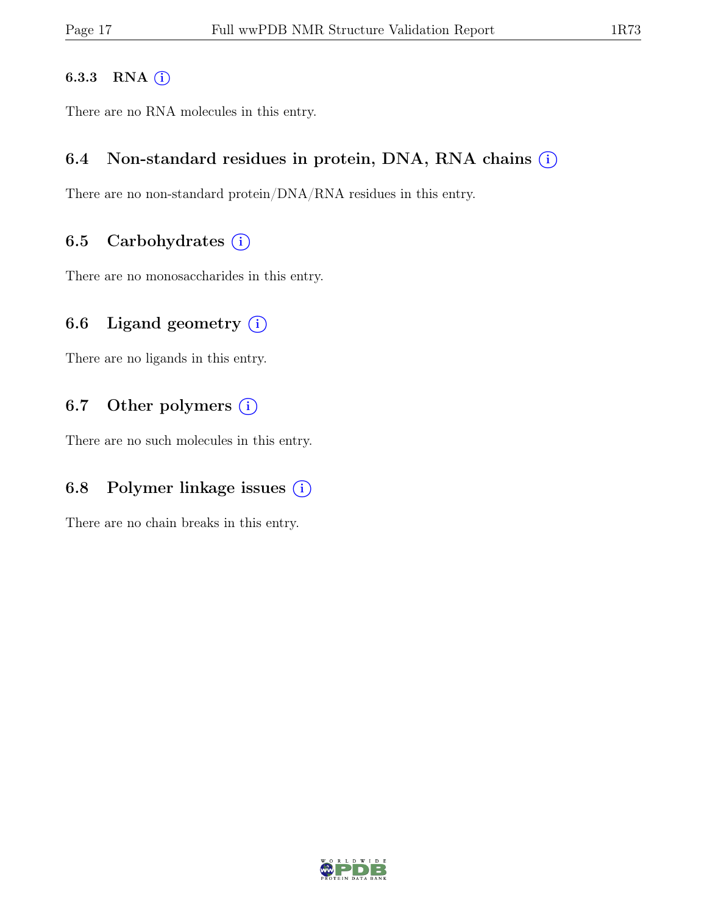#### 6.3.3 RNA  $(i)$

There are no RNA molecules in this entry.

## 6.4 Non-standard residues in protein, DNA, RNA chains  $(i)$

There are no non-standard protein/DNA/RNA residues in this entry.

## 6.5 Carbohydrates  $(i)$

There are no monosaccharides in this entry.

## 6.6 Ligand geometry  $(i)$

There are no ligands in this entry.

## 6.7 Other polymers  $(i)$

There are no such molecules in this entry.

## 6.8 Polymer linkage issues  $(i)$

There are no chain breaks in this entry.